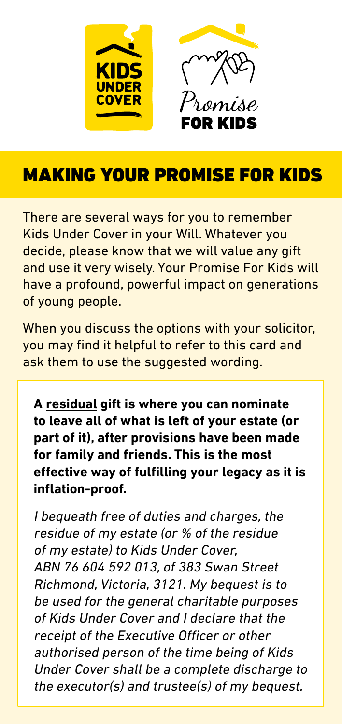

## MAKING YOUR PROMISE FOR KIDS

There are several ways for you to remember Kids Under Cover in your Will. Whatever you decide, please know that we will value any gift and use it very wisely. Your Promise For Kids will have a profound, powerful impact on generations of young people.

When you discuss the options with your solicitor, you may find it helpful to refer to this card and ask them to use the suggested wording.

**A residual gift is where you can nominate to leave all of what is left of your estate (or part of it), after provisions have been made for family and friends. This is the most effective way of fulfilling your legacy as it is inflation-proof.**

I bequeath free of duties and charges, the residue of my estate (or % of the residue of my estate) to Kids Under Cover, ABN 76 604 592 013, of 383 Swan Street Richmond, Victoria, 3121. My bequest is to be used for the general charitable purposes of Kids Under Cover and I declare that the receipt of the Executive Officer or other authorised person of the time being of Kids Under Cover shall be a complete discharge to the executor(s) and trustee(s) of my bequest.